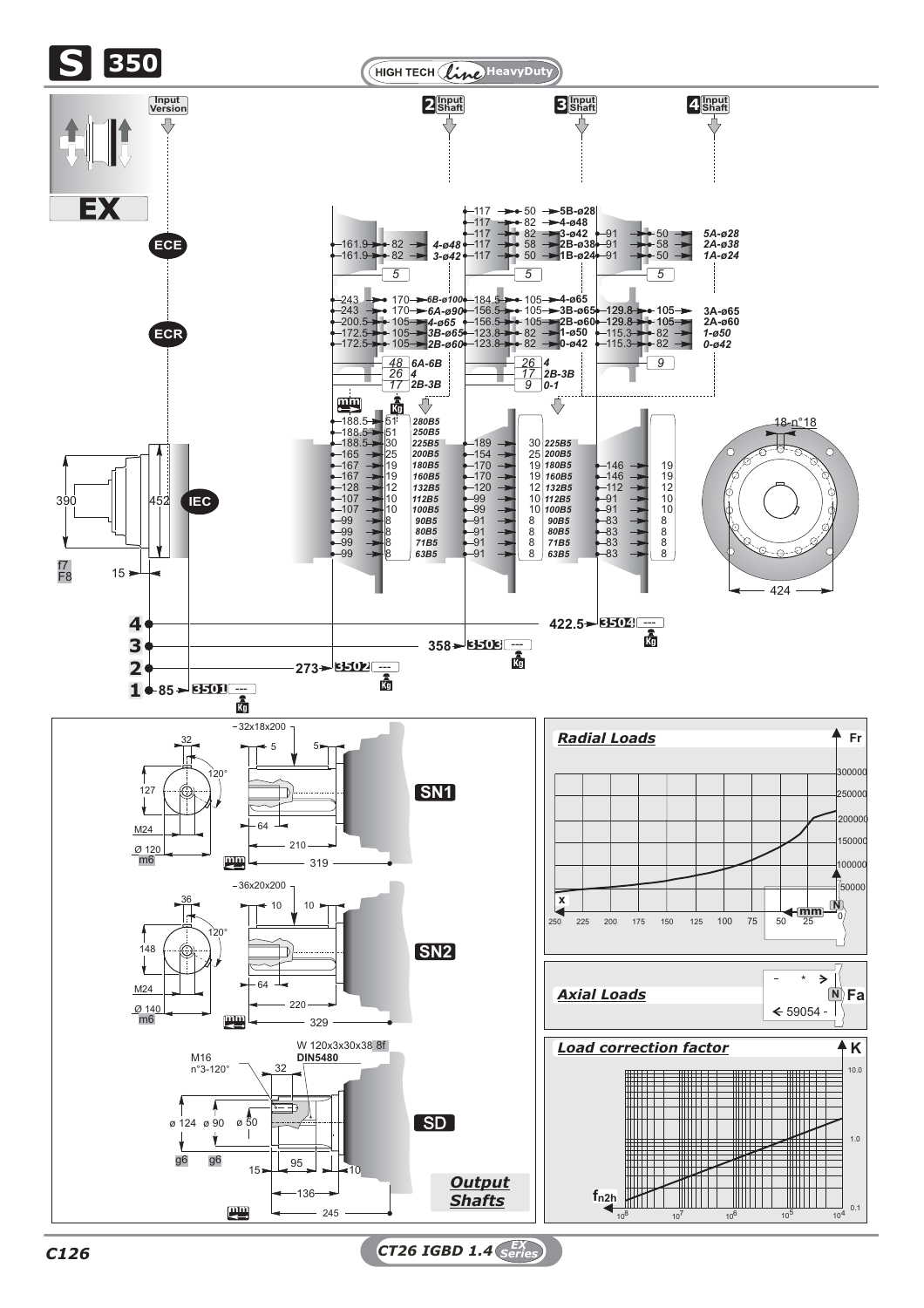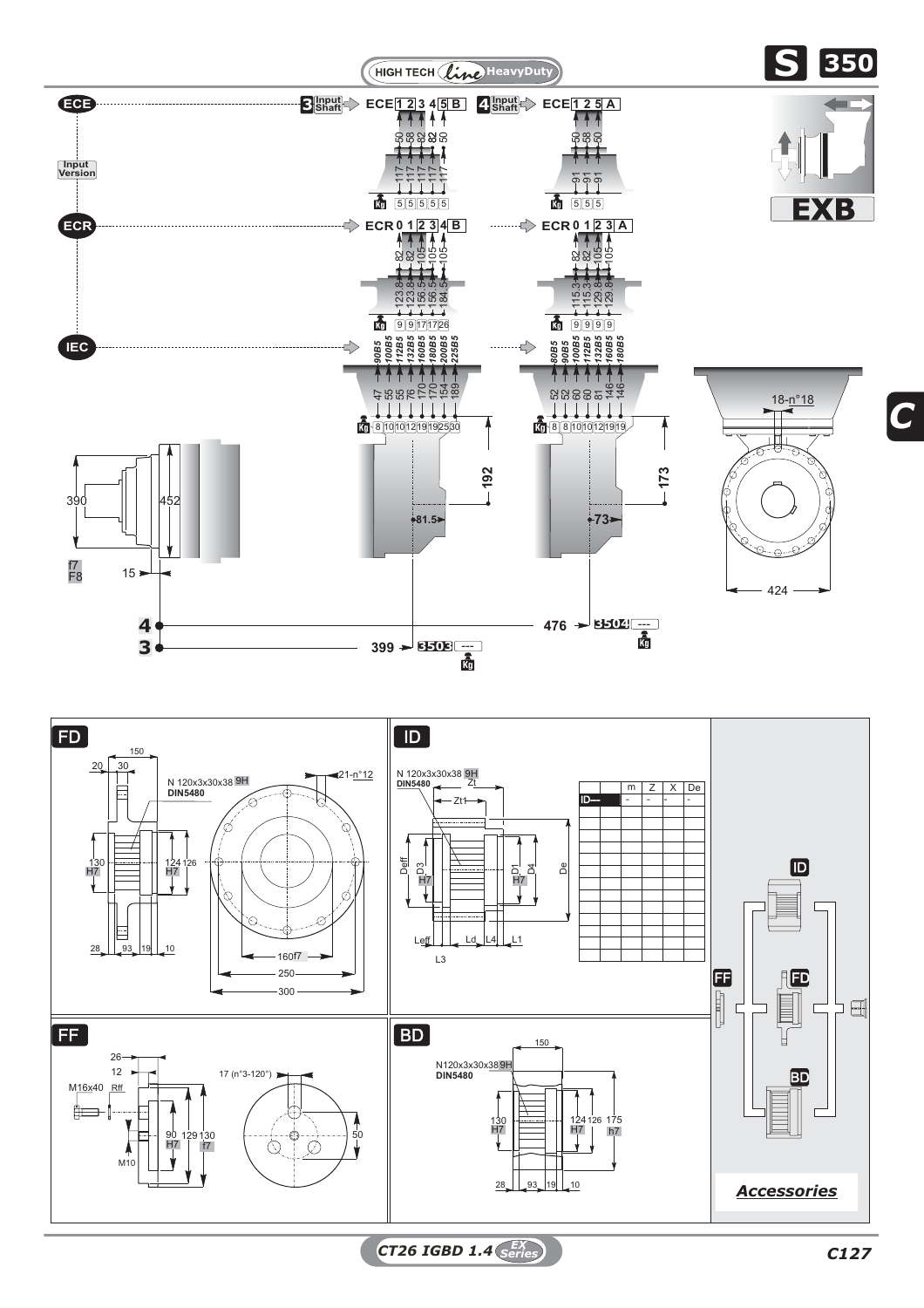

*CT26 IGBD 1.4 C127 EX Series*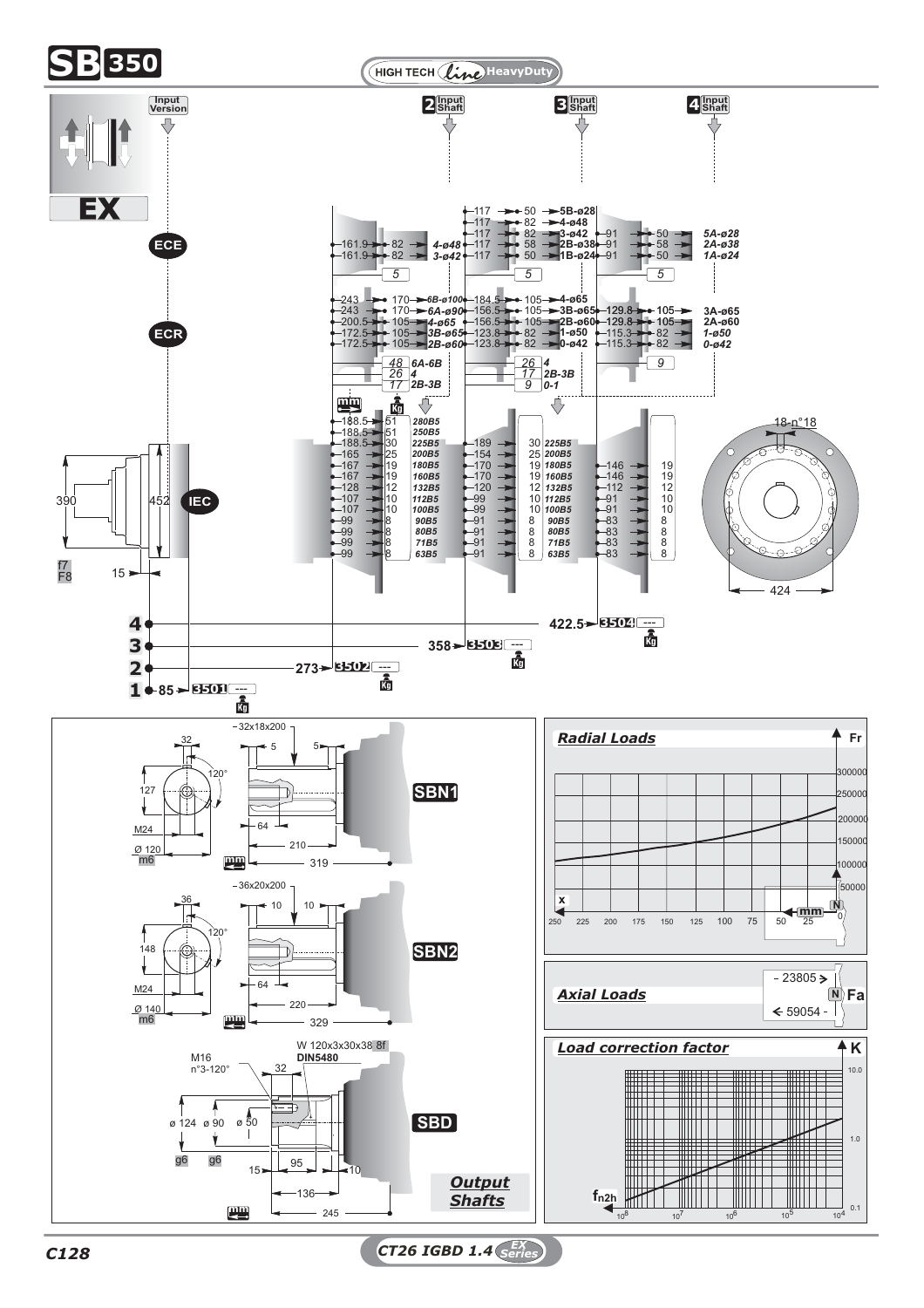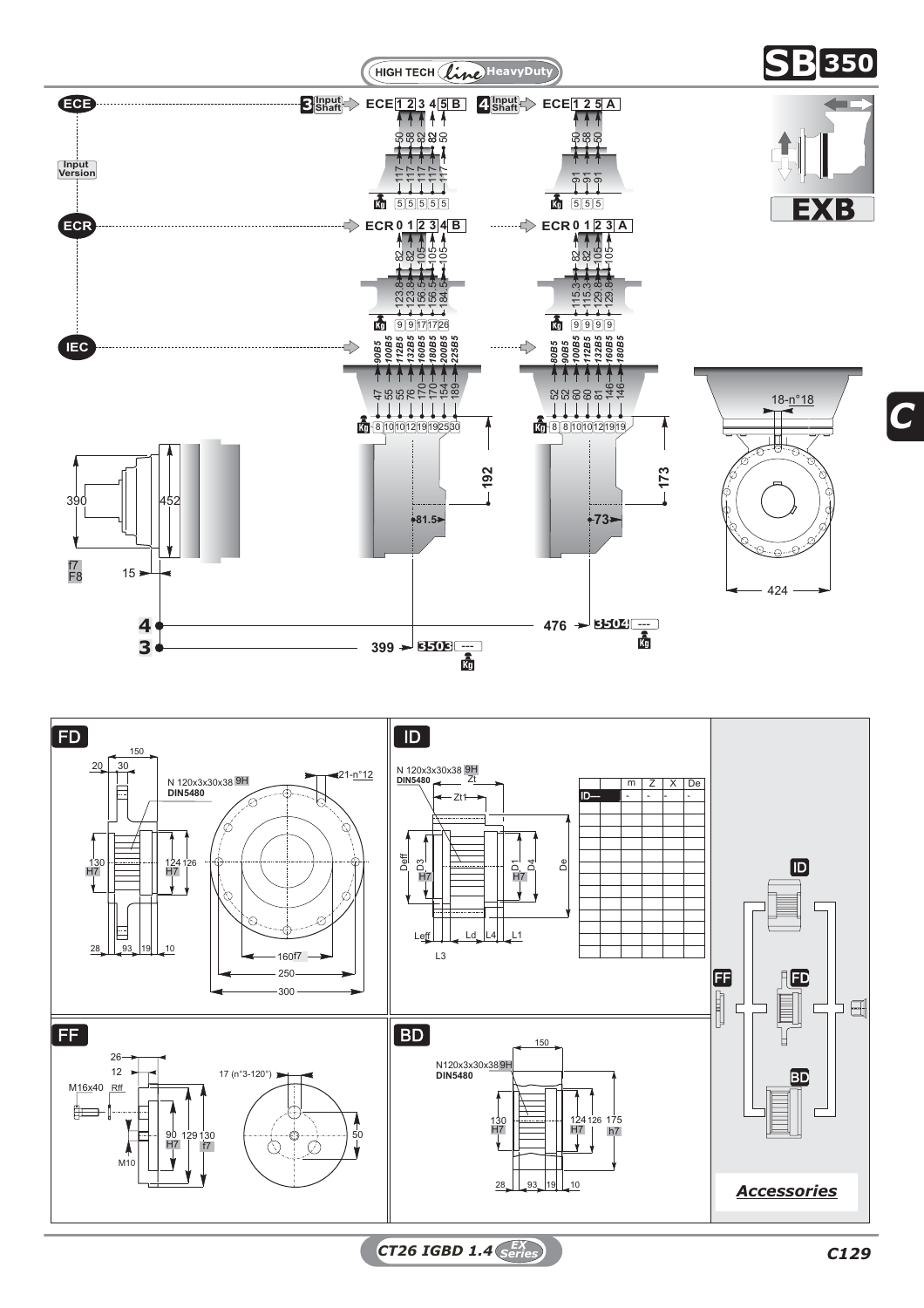



*CT26 IGBD 1.4 C129 EX Series*

 $\exists$   $\exists$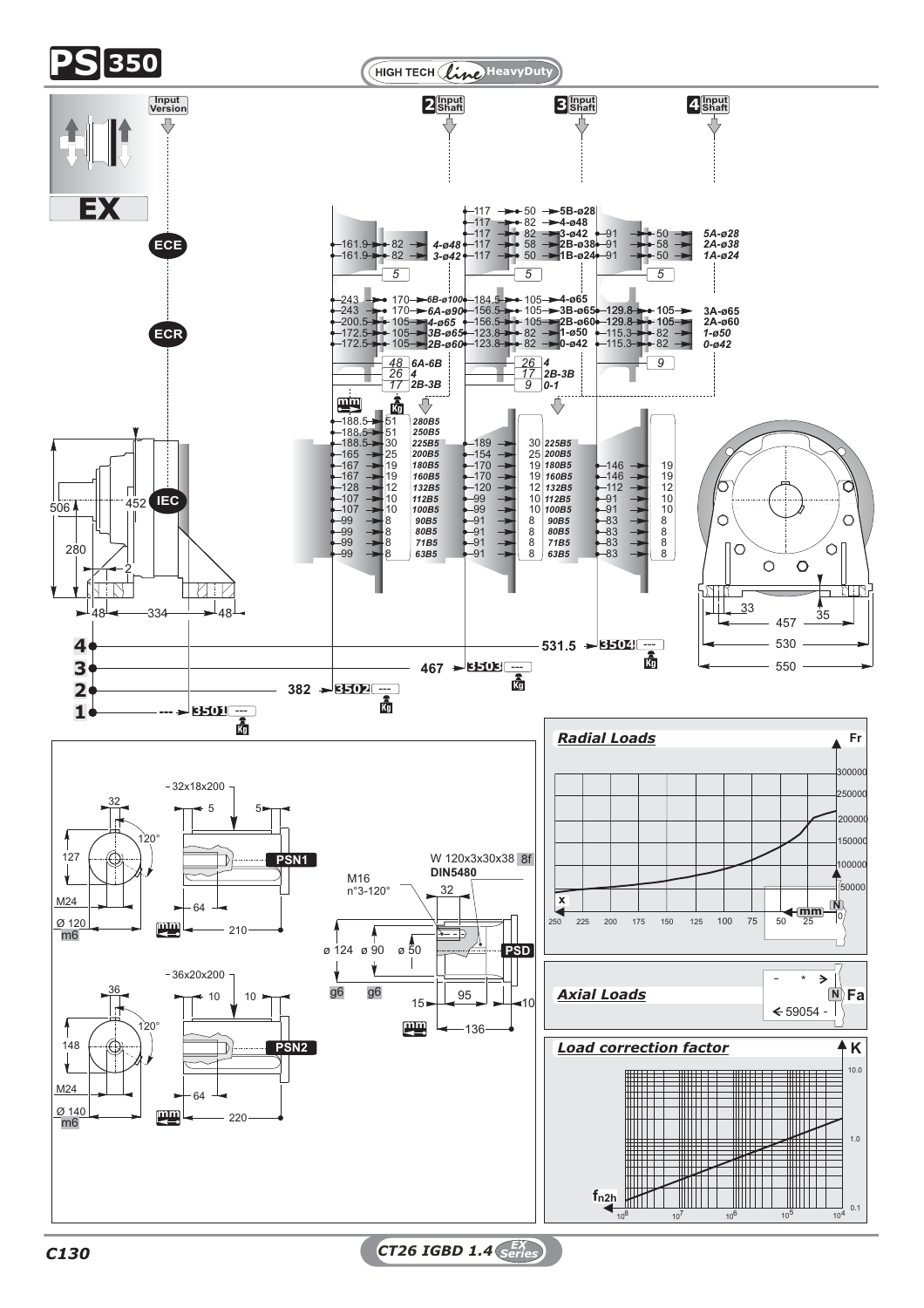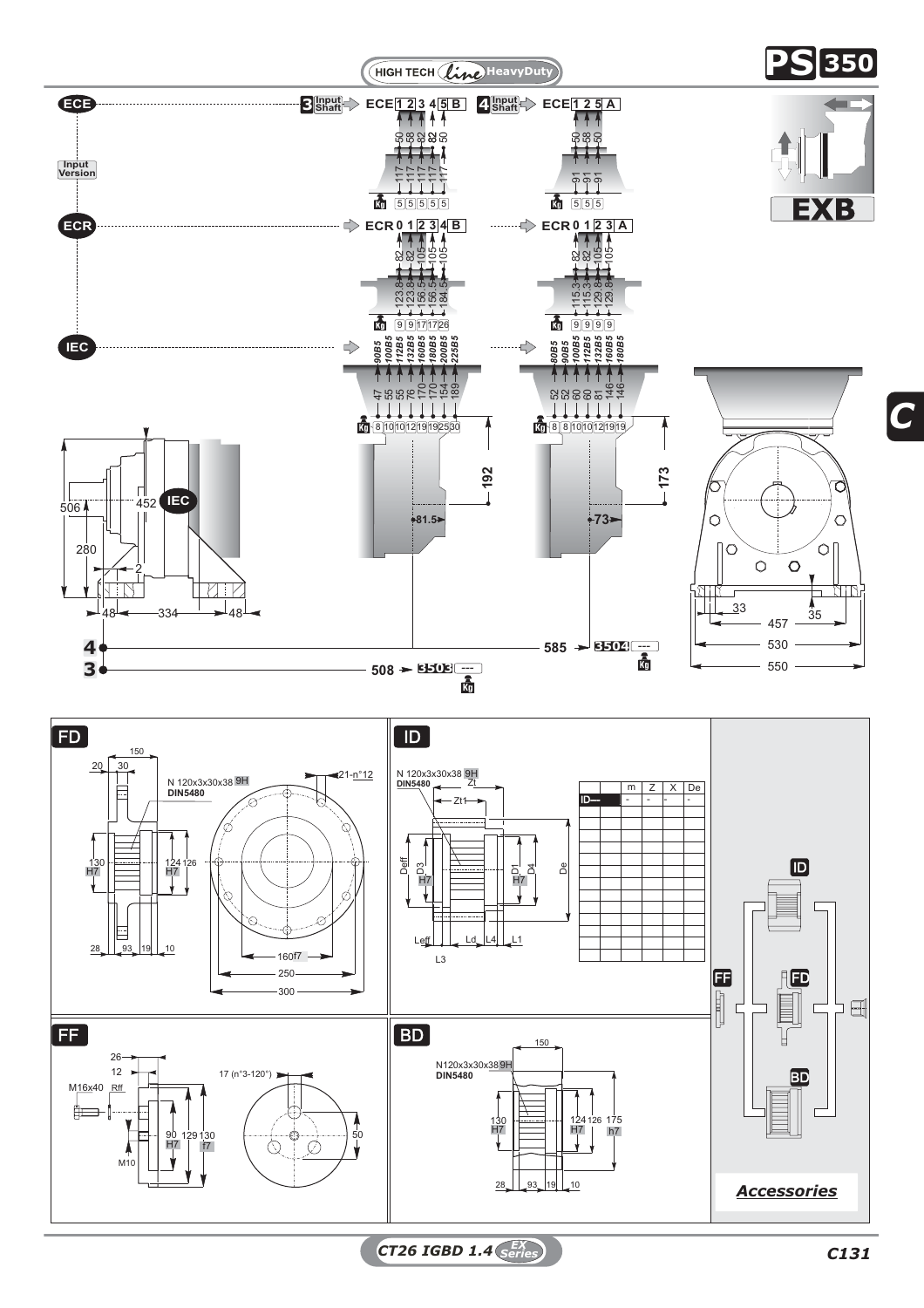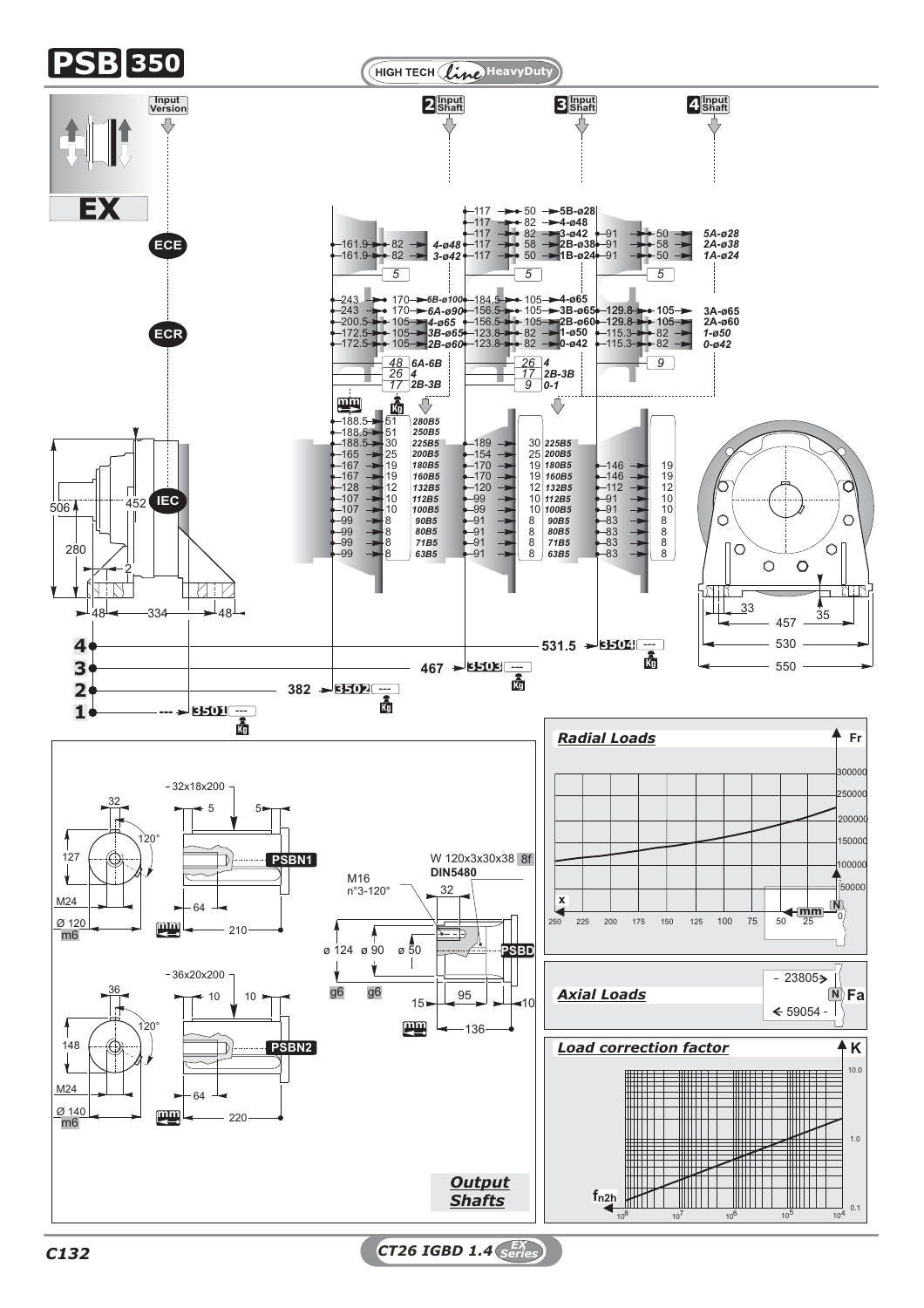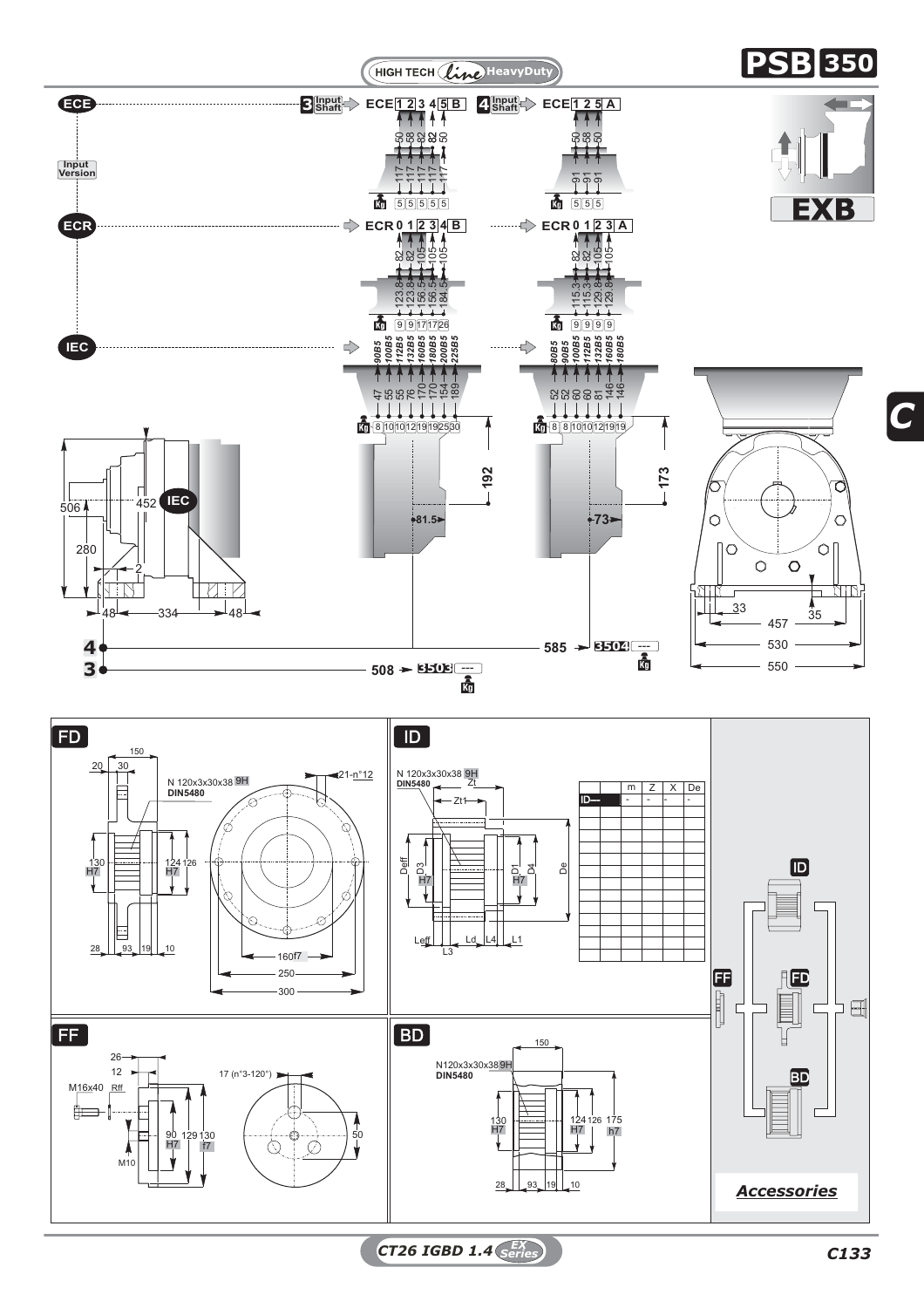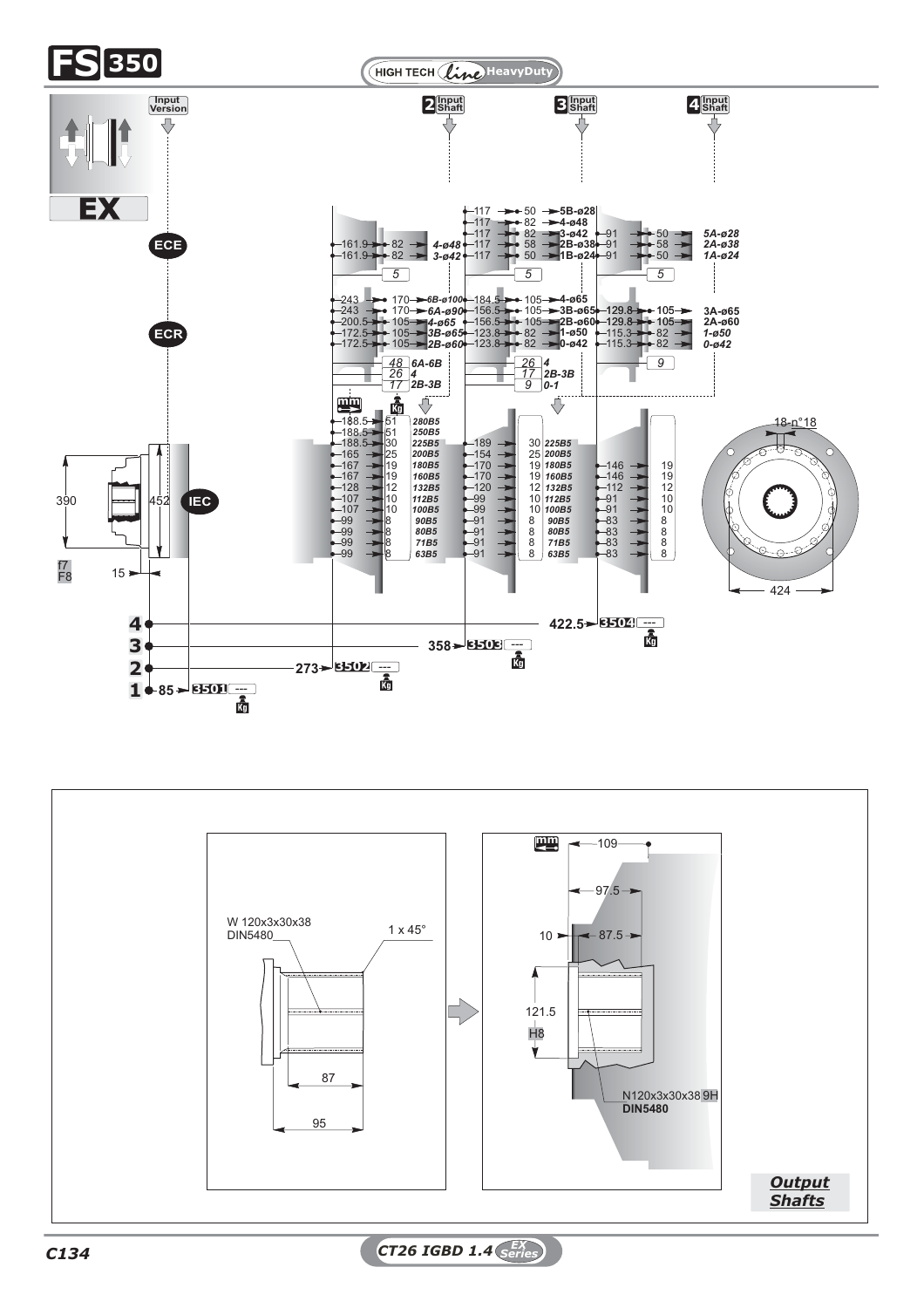

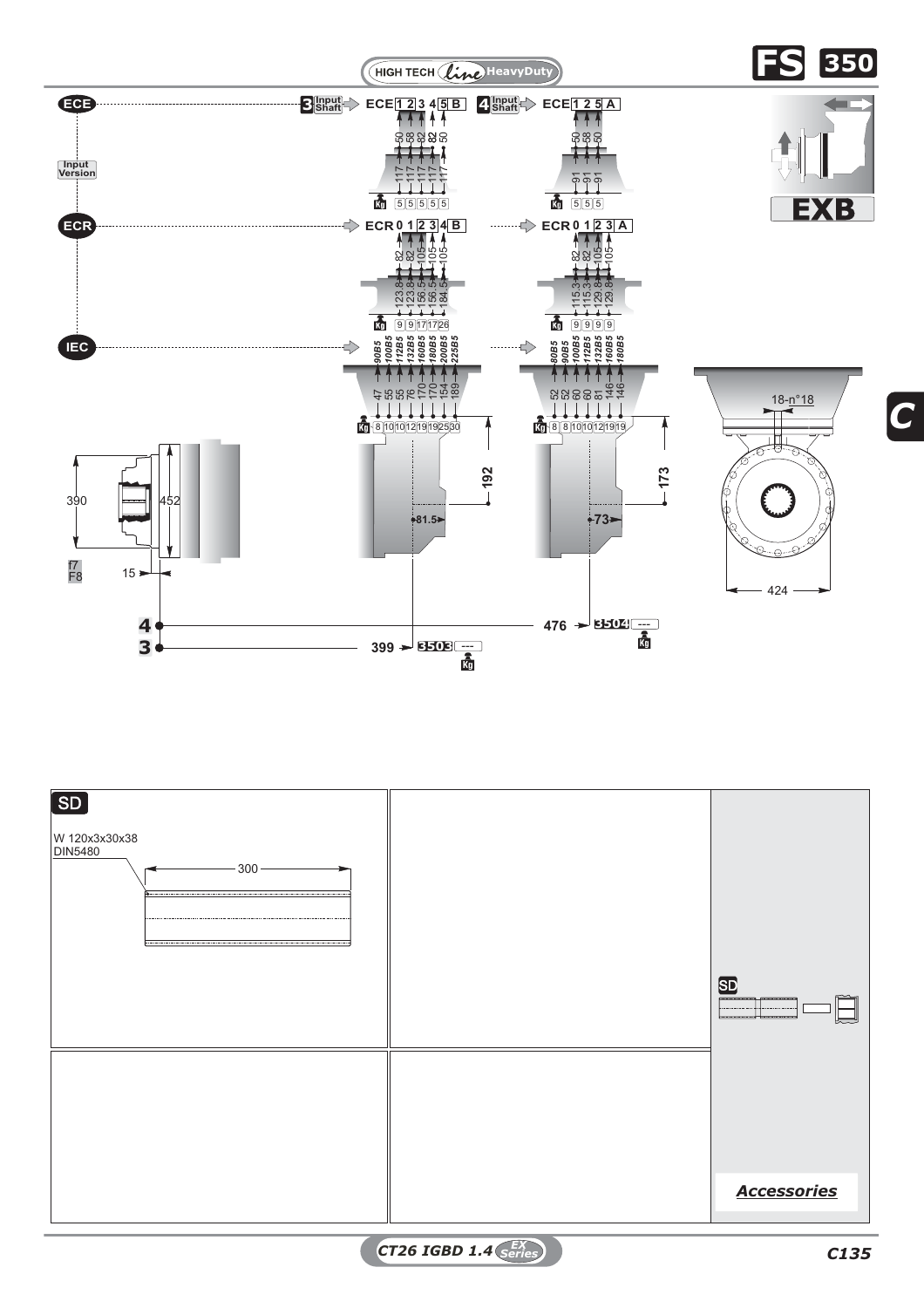

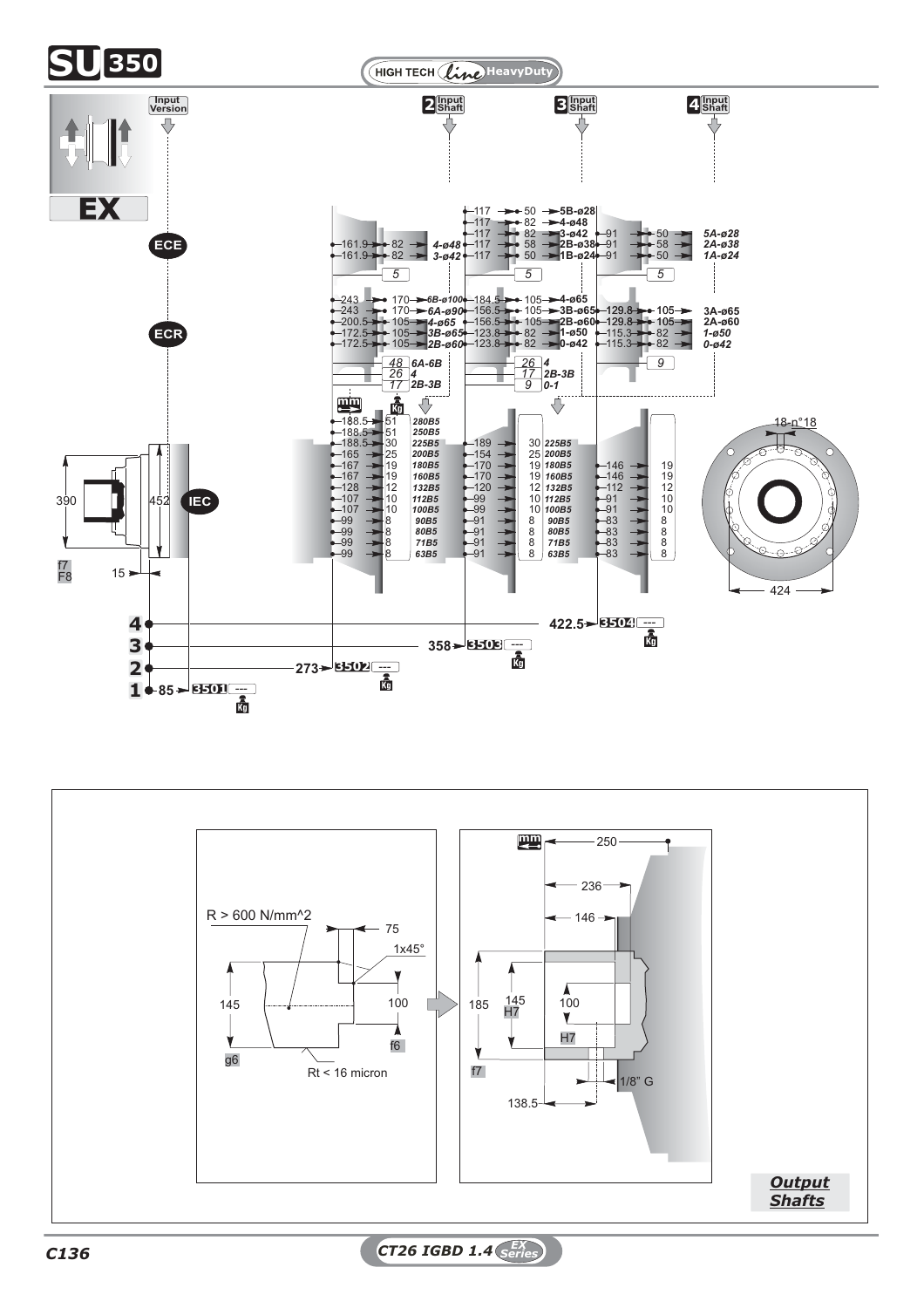